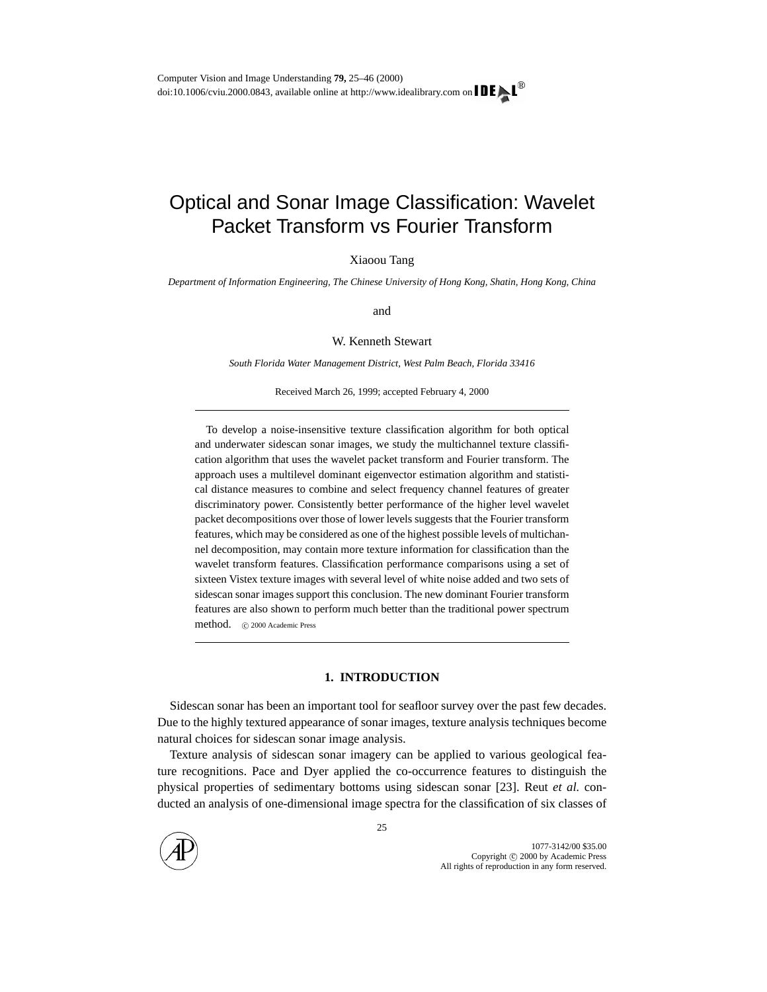# Optical and Sonar Image Classification: Wavelet Packet Transform vs Fourier Transform

Xiaoou Tang

*Department of Information Engineering, The Chinese University of Hong Kong, Shatin, Hong Kong, China*

and

W. Kenneth Stewart

*South Florida Water Management District, West Palm Beach, Florida 33416*

Received March 26, 1999; accepted February 4, 2000

To develop a noise-insensitive texture classification algorithm for both optical and underwater sidescan sonar images, we study the multichannel texture classification algorithm that uses the wavelet packet transform and Fourier transform. The approach uses a multilevel dominant eigenvector estimation algorithm and statistical distance measures to combine and select frequency channel features of greater discriminatory power. Consistently better performance of the higher level wavelet packet decompositions over those of lower levels suggests that the Fourier transform features, which may be considered as one of the highest possible levels of multichannel decomposition, may contain more texture information for classification than the wavelet transform features. Classification performance comparisons using a set of sixteen Vistex texture images with several level of white noise added and two sets of sidescan sonar images support this conclusion. The new dominant Fourier transform features are also shown to perform much better than the traditional power spectrum method. © 2000 Academic Press

# **1. INTRODUCTION**

Sidescan sonar has been an important tool for seafloor survey over the past few decades. Due to the highly textured appearance of sonar images, texture analysis techniques become natural choices for sidescan sonar image analysis.

Texture analysis of sidescan sonar imagery can be applied to various geological feature recognitions. Pace and Dyer applied the co-occurrence features to distinguish the physical properties of sedimentary bottoms using sidescan sonar [23]. Reut *et al.* conducted an analysis of one-dimensional image spectra for the classification of six classes of

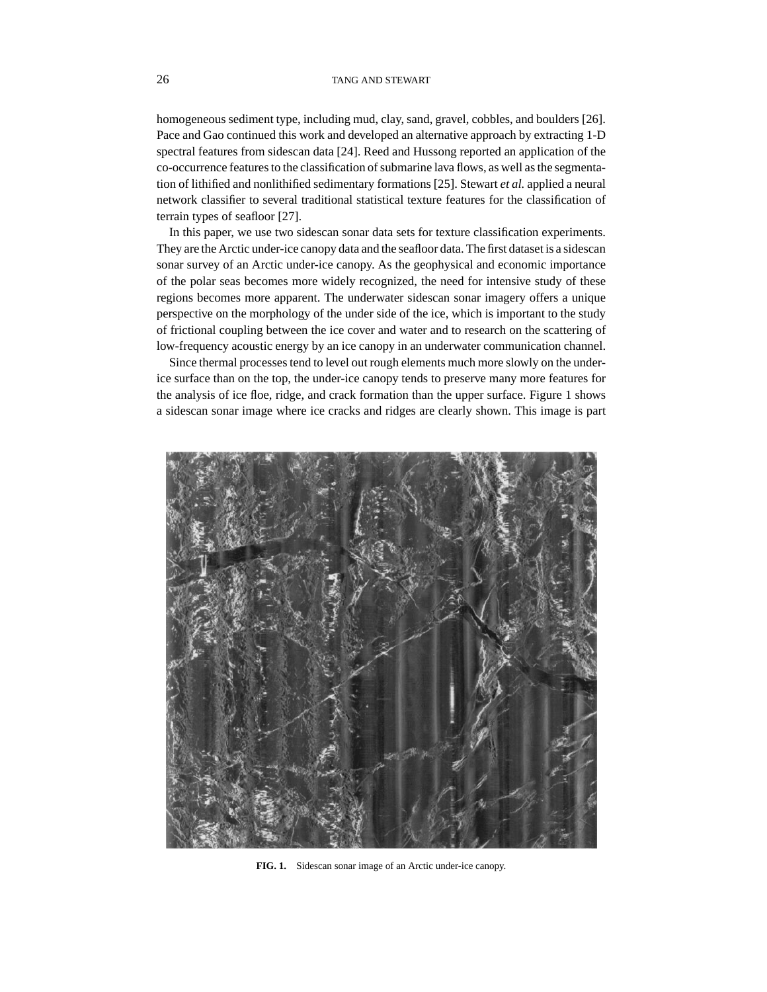homogeneous sediment type, including mud, clay, sand, gravel, cobbles, and boulders [26]. Pace and Gao continued this work and developed an alternative approach by extracting 1-D spectral features from sidescan data [24]. Reed and Hussong reported an application of the co-occurrence features to the classification of submarine lava flows, as well as the segmentation of lithified and nonlithified sedimentary formations [25]. Stewart *et al.* applied a neural network classifier to several traditional statistical texture features for the classification of terrain types of seafloor [27].

In this paper, we use two sidescan sonar data sets for texture classification experiments. They are the Arctic under-ice canopy data and the seafloor data. The first dataset is a sidescan sonar survey of an Arctic under-ice canopy. As the geophysical and economic importance of the polar seas becomes more widely recognized, the need for intensive study of these regions becomes more apparent. The underwater sidescan sonar imagery offers a unique perspective on the morphology of the under side of the ice, which is important to the study of frictional coupling between the ice cover and water and to research on the scattering of low-frequency acoustic energy by an ice canopy in an underwater communication channel.

Since thermal processes tend to level out rough elements much more slowly on the underice surface than on the top, the under-ice canopy tends to preserve many more features for the analysis of ice floe, ridge, and crack formation than the upper surface. Figure 1 shows a sidescan sonar image where ice cracks and ridges are clearly shown. This image is part



**FIG. 1.** Sidescan sonar image of an Arctic under-ice canopy.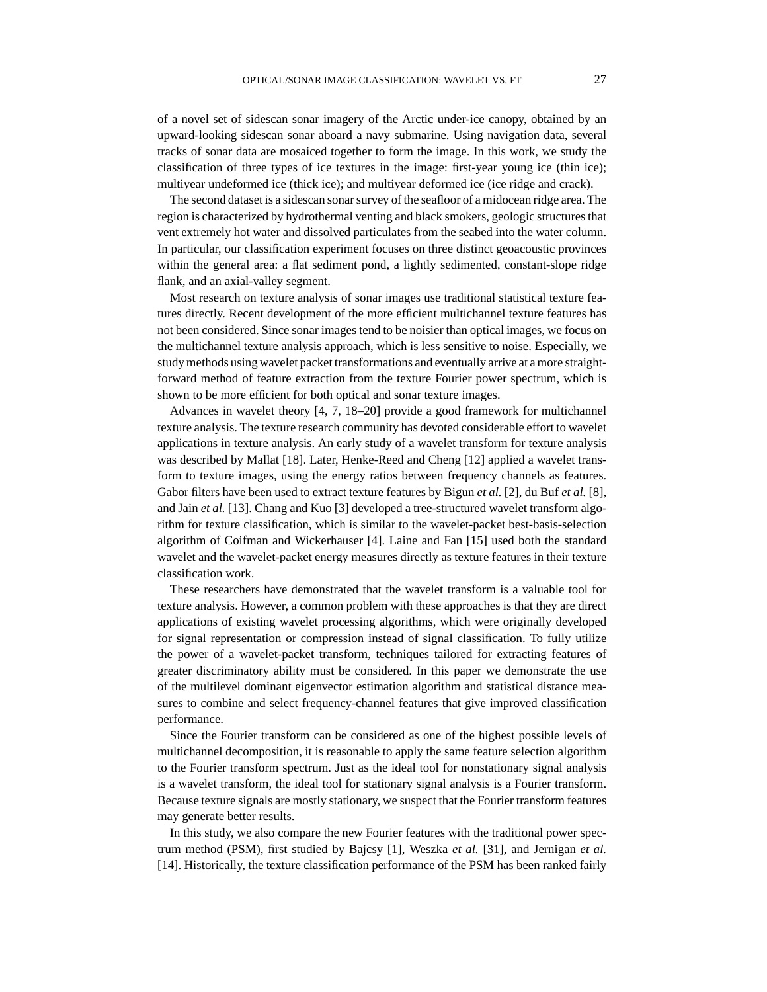of a novel set of sidescan sonar imagery of the Arctic under-ice canopy, obtained by an upward-looking sidescan sonar aboard a navy submarine. Using navigation data, several tracks of sonar data are mosaiced together to form the image. In this work, we study the classification of three types of ice textures in the image: first-year young ice (thin ice); multiyear undeformed ice (thick ice); and multiyear deformed ice (ice ridge and crack).

The second dataset is a sidescan sonar survey of the seafloor of a midocean ridge area. The region is characterized by hydrothermal venting and black smokers, geologic structures that vent extremely hot water and dissolved particulates from the seabed into the water column. In particular, our classification experiment focuses on three distinct geoacoustic provinces within the general area: a flat sediment pond, a lightly sedimented, constant-slope ridge flank, and an axial-valley segment.

Most research on texture analysis of sonar images use traditional statistical texture features directly. Recent development of the more efficient multichannel texture features has not been considered. Since sonar images tend to be noisier than optical images, we focus on the multichannel texture analysis approach, which is less sensitive to noise. Especially, we study methods using wavelet packet transformations and eventually arrive at a more straightforward method of feature extraction from the texture Fourier power spectrum, which is shown to be more efficient for both optical and sonar texture images.

Advances in wavelet theory [4, 7, 18–20] provide a good framework for multichannel texture analysis. The texture research community has devoted considerable effort to wavelet applications in texture analysis. An early study of a wavelet transform for texture analysis was described by Mallat [18]. Later, Henke-Reed and Cheng [12] applied a wavelet transform to texture images, using the energy ratios between frequency channels as features. Gabor filters have been used to extract texture features by Bigun *et al.* [2], du Buf *et al.* [8], and Jain *et al.* [13]. Chang and Kuo [3] developed a tree-structured wavelet transform algorithm for texture classification, which is similar to the wavelet-packet best-basis-selection algorithm of Coifman and Wickerhauser [4]. Laine and Fan [15] used both the standard wavelet and the wavelet-packet energy measures directly as texture features in their texture classification work.

These researchers have demonstrated that the wavelet transform is a valuable tool for texture analysis. However, a common problem with these approaches is that they are direct applications of existing wavelet processing algorithms, which were originally developed for signal representation or compression instead of signal classification. To fully utilize the power of a wavelet-packet transform, techniques tailored for extracting features of greater discriminatory ability must be considered. In this paper we demonstrate the use of the multilevel dominant eigenvector estimation algorithm and statistical distance measures to combine and select frequency-channel features that give improved classification performance.

Since the Fourier transform can be considered as one of the highest possible levels of multichannel decomposition, it is reasonable to apply the same feature selection algorithm to the Fourier transform spectrum. Just as the ideal tool for nonstationary signal analysis is a wavelet transform, the ideal tool for stationary signal analysis is a Fourier transform. Because texture signals are mostly stationary, we suspect that the Fourier transform features may generate better results.

In this study, we also compare the new Fourier features with the traditional power spectrum method (PSM), first studied by Bajcsy [1], Weszka *et al.* [31], and Jernigan *et al.* [14]. Historically, the texture classification performance of the PSM has been ranked fairly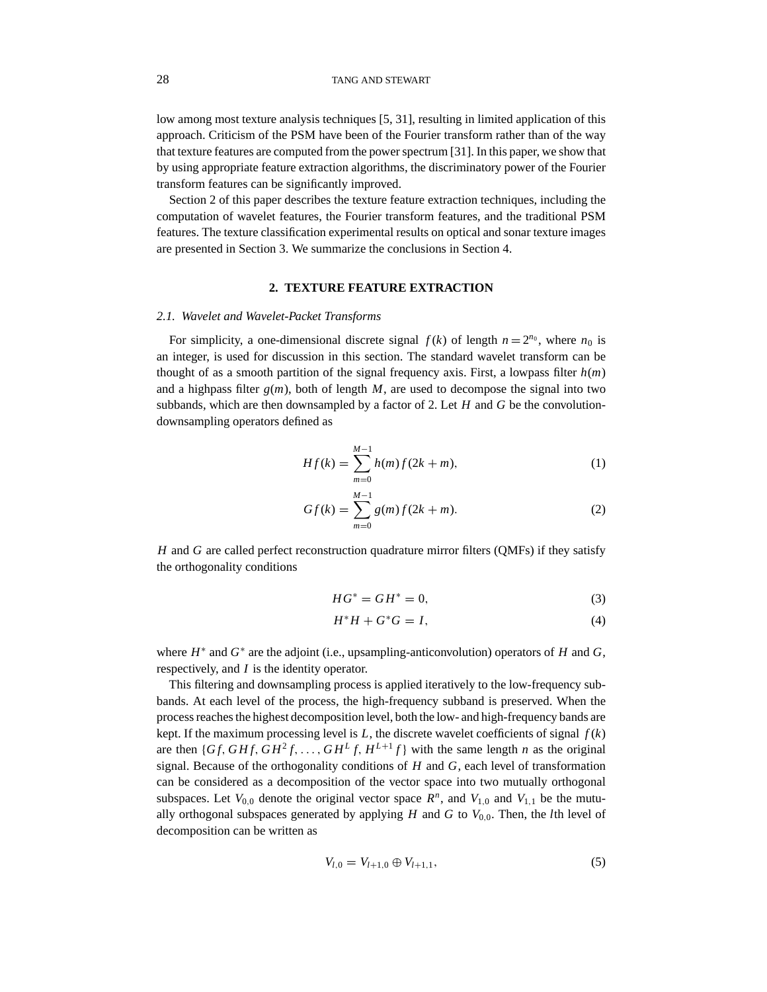low among most texture analysis techniques [5, 31], resulting in limited application of this approach. Criticism of the PSM have been of the Fourier transform rather than of the way that texture features are computed from the power spectrum [31]. In this paper, we show that by using appropriate feature extraction algorithms, the discriminatory power of the Fourier transform features can be significantly improved.

Section 2 of this paper describes the texture feature extraction techniques, including the computation of wavelet features, the Fourier transform features, and the traditional PSM features. The texture classification experimental results on optical and sonar texture images are presented in Section 3. We summarize the conclusions in Section 4.

## **2. TEXTURE FEATURE EXTRACTION**

## *2.1. Wavelet and Wavelet-Packet Transforms*

For simplicity, a one-dimensional discrete signal  $f(k)$  of length  $n = 2^{n_0}$ , where  $n_0$  is an integer, is used for discussion in this section. The standard wavelet transform can be thought of as a smooth partition of the signal frequency axis. First, a lowpass filter  $h(m)$ and a highpass filter  $g(m)$ , both of length  $M$ , are used to decompose the signal into two subbands, which are then downsampled by a factor of 2. Let *H* and *G* be the convolutiondownsampling operators defined as

$$
Hf(k) = \sum_{m=0}^{M-1} h(m)f(2k+m),
$$
 (1)

$$
Gf(k) = \sum_{m=0}^{M-1} g(m)f(2k+m).
$$
 (2)

*H* and *G* are called perfect reconstruction quadrature mirror filters (QMFs) if they satisfy the orthogonality conditions

$$
HG^* = GH^* = 0,\t\t(3)
$$

$$
H^*H + G^*G = I,\tag{4}
$$

where  $H^*$  and  $G^*$  are the adjoint (i.e., upsampling-anticonvolution) operators of  $H$  and  $G$ , respectively, and *I* is the identity operator.

This filtering and downsampling process is applied iteratively to the low-frequency subbands. At each level of the process, the high-frequency subband is preserved. When the process reaches the highest decomposition level, both the low- and high-frequency bands are kept. If the maximum processing level is  $L$ , the discrete wavelet coefficients of signal  $f(k)$ are then  $\{Gf, GHf, GH^2f, \ldots, GH^Lf, H^{L+1}f\}$  with the same length *n* as the original signal. Because of the orthogonality conditions of *H* and *G*, each level of transformation can be considered as a decomposition of the vector space into two mutually orthogonal subspaces. Let  $V_{0,0}$  denote the original vector space  $R^n$ , and  $V_{1,0}$  and  $V_{1,1}$  be the mutually orthogonal subspaces generated by applying  $H$  and  $G$  to  $V_{0,0}$ . Then, the *l*th level of decomposition can be written as

$$
V_{l,0} = V_{l+1,0} \oplus V_{l+1,1}, \tag{5}
$$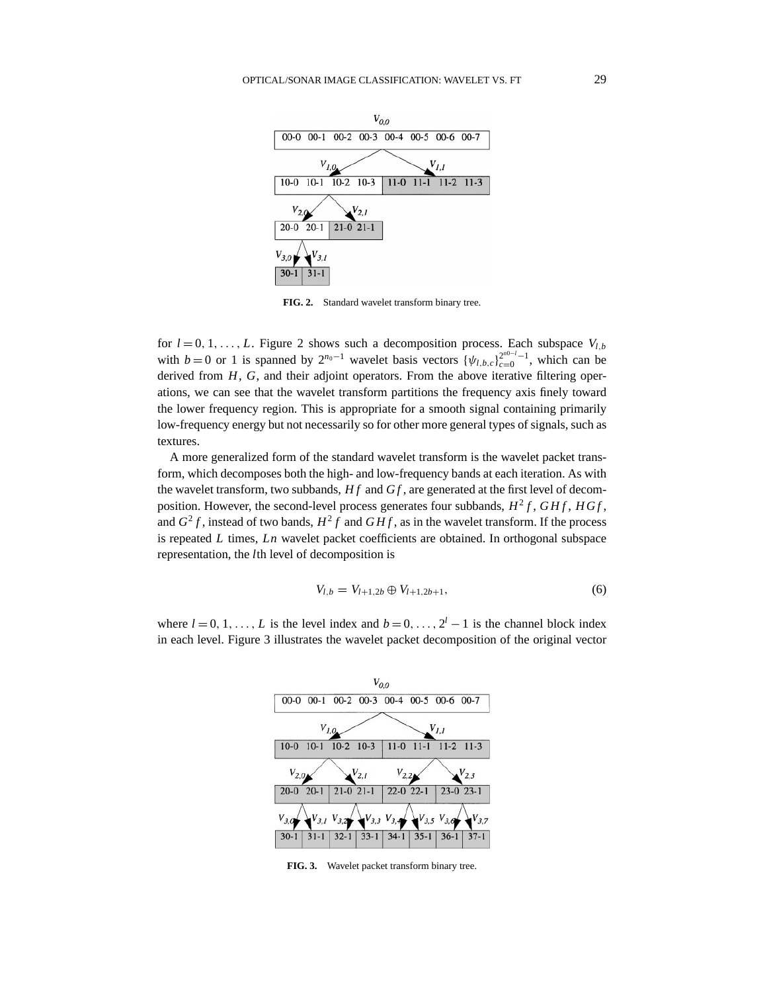

**FIG. 2.** Standard wavelet transform binary tree.

for  $l = 0, 1, \ldots, L$ . Figure 2 shows such a decomposition process. Each subspace  $V_{l,b}$ with *b* = 0 or 1 is spanned by  $2^{n_0-1}$  wavelet basis vectors  $\{\psi_{l,b,c}\}_{c=0}^{2^{n_0-1}-1}$ , which can be derived from *H*, *G*, and their adjoint operators. From the above iterative filtering operations, we can see that the wavelet transform partitions the frequency axis finely toward the lower frequency region. This is appropriate for a smooth signal containing primarily low-frequency energy but not necessarily so for other more general types of signals, such as textures.

A more generalized form of the standard wavelet transform is the wavelet packet transform, which decomposes both the high- and low-frequency bands at each iteration. As with the wavelet transform, two subbands, *H f* and *G f* , are generated at the first level of decomposition. However, the second-level process generates four subbands,  $H^2f$ ,  $GHf$ ,  $HGf$ , and  $G^2 f$ , instead of two bands,  $H^2 f$  and  $GHf$ , as in the wavelet transform. If the process is repeated *L* times, *Ln* wavelet packet coefficients are obtained. In orthogonal subspace representation, the *l*th level of decomposition is

$$
V_{l,b} = V_{l+1,2b} \oplus V_{l+1,2b+1}, \tag{6}
$$

where  $l = 0, 1, \ldots, L$  is the level index and  $b = 0, \ldots, 2^l - 1$  is the channel block index in each level. Figure 3 illustrates the wavelet packet decomposition of the original vector



**FIG. 3.** Wavelet packet transform binary tree.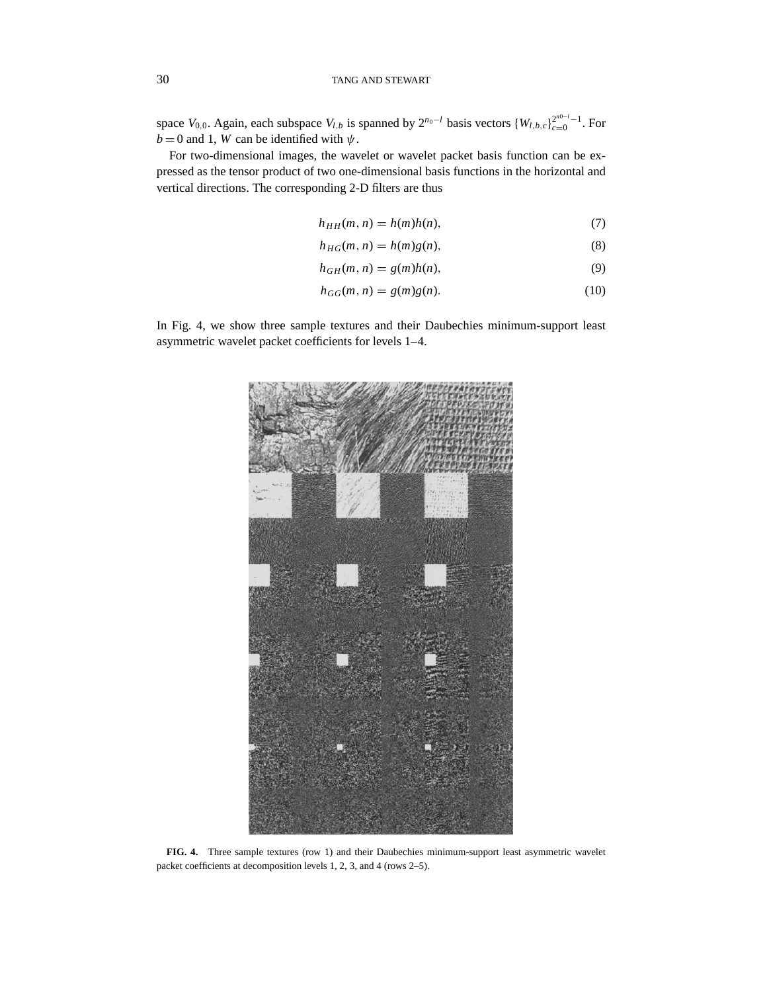space  $V_{0,0}$ . Again, each subspace  $V_{l,b}$  is spanned by  $2^{n_0-l}$  basis vectors  $\{W_{l,b,c}\}_{c=0}^{2^{n_0-l}-1}$ . For  $b = 0$  and 1, *W* can be identified with  $\psi$ .

For two-dimensional images, the wavelet or wavelet packet basis function can be expressed as the tensor product of two one-dimensional basis functions in the horizontal and vertical directions. The corresponding 2-D filters are thus

$$
h_{HH}(m,n) = h(m)h(n),\tag{7}
$$

$$
h_{HG}(m, n) = h(m)g(n),\tag{8}
$$

$$
h_{GH}(m,n) = g(m)h(n),\tag{9}
$$

$$
h_{GG}(m,n) = g(m)g(n). \tag{10}
$$

In Fig. 4, we show three sample textures and their Daubechies minimum-support least asymmetric wavelet packet coefficients for levels 1–4.



**FIG. 4.** Three sample textures (row 1) and their Daubechies minimum-support least asymmetric wavelet packet coefficients at decomposition levels 1, 2, 3, and 4 (rows 2–5).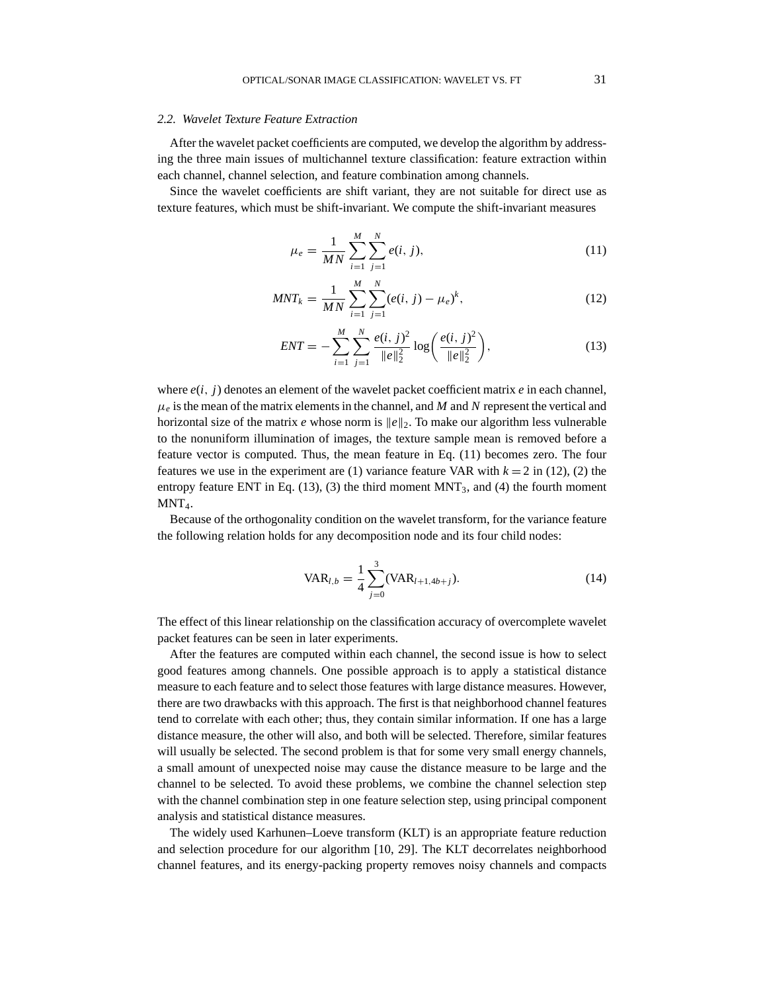#### *2.2. Wavelet Texture Feature Extraction*

After the wavelet packet coefficients are computed, we develop the algorithm by addressing the three main issues of multichannel texture classification: feature extraction within each channel, channel selection, and feature combination among channels.

Since the wavelet coefficients are shift variant, they are not suitable for direct use as texture features, which must be shift-invariant. We compute the shift-invariant measures

$$
\mu_e = \frac{1}{MN} \sum_{i=1}^{M} \sum_{j=1}^{N} e(i, j),
$$
\n(11)

$$
MNT_k = \frac{1}{MN} \sum_{i=1}^{M} \sum_{j=1}^{N} (e(i, j) - \mu_e)^k,
$$
 (12)

$$
ENT = -\sum_{i=1}^{M} \sum_{j=1}^{N} \frac{e(i, j)^2}{\|e\|_2^2} \log\left(\frac{e(i, j)^2}{\|e\|_2^2}\right),\tag{13}
$$

where  $e(i, j)$  denotes an element of the wavelet packet coefficient matrix  $e$  in each channel,  $\mu_e$  is the mean of the matrix elements in the channel, and *M* and *N* represent the vertical and horizontal size of the matrix *e* whose norm is  $\|\ell\|_2$ . To make our algorithm less vulnerable to the nonuniform illumination of images, the texture sample mean is removed before a feature vector is computed. Thus, the mean feature in Eq. (11) becomes zero. The four features we use in the experiment are (1) variance feature VAR with  $k = 2$  in (12), (2) the entropy feature ENT in Eq.  $(13)$ ,  $(3)$  the third moment MNT<sub>3</sub>, and  $(4)$  the fourth moment MNT<sub>4</sub>.

Because of the orthogonality condition on the wavelet transform, for the variance feature the following relation holds for any decomposition node and its four child nodes:

$$
VAR_{l,b} = \frac{1}{4} \sum_{j=0}^{3} (VAR_{l+1,4b+j}).
$$
 (14)

The effect of this linear relationship on the classification accuracy of overcomplete wavelet packet features can be seen in later experiments.

After the features are computed within each channel, the second issue is how to select good features among channels. One possible approach is to apply a statistical distance measure to each feature and to select those features with large distance measures. However, there are two drawbacks with this approach. The first is that neighborhood channel features tend to correlate with each other; thus, they contain similar information. If one has a large distance measure, the other will also, and both will be selected. Therefore, similar features will usually be selected. The second problem is that for some very small energy channels, a small amount of unexpected noise may cause the distance measure to be large and the channel to be selected. To avoid these problems, we combine the channel selection step with the channel combination step in one feature selection step, using principal component analysis and statistical distance measures.

The widely used Karhunen–Loeve transform (KLT) is an appropriate feature reduction and selection procedure for our algorithm [10, 29]. The KLT decorrelates neighborhood channel features, and its energy-packing property removes noisy channels and compacts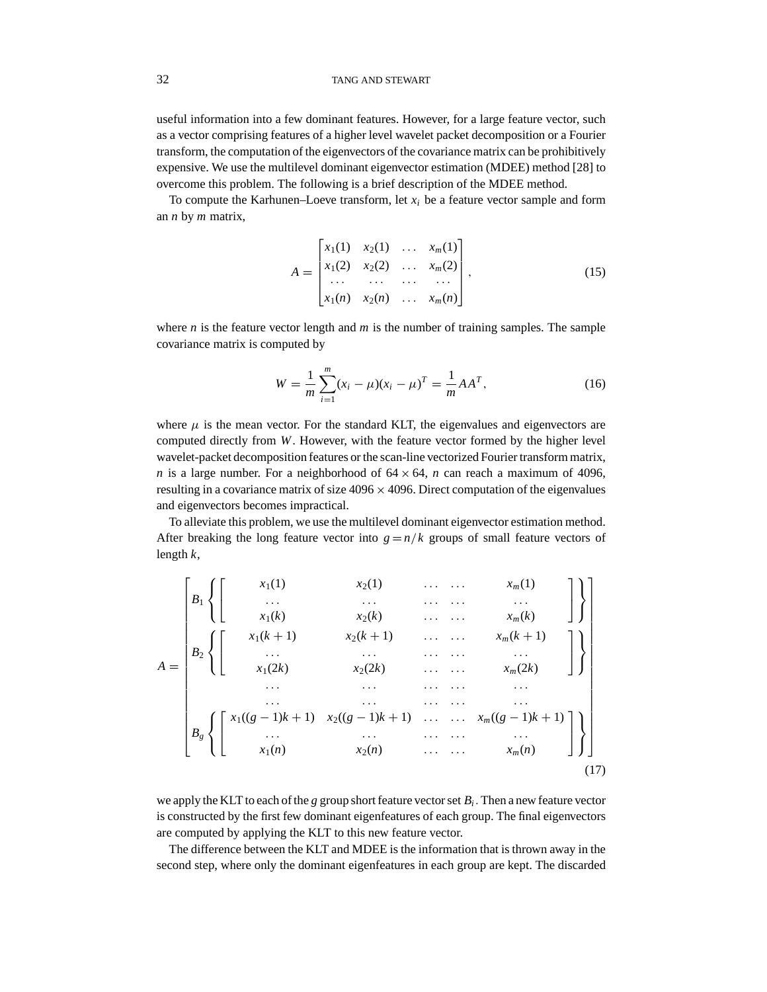useful information into a few dominant features. However, for a large feature vector, such as a vector comprising features of a higher level wavelet packet decomposition or a Fourier transform, the computation of the eigenvectors of the covariance matrix can be prohibitively expensive. We use the multilevel dominant eigenvector estimation (MDEE) method [28] to overcome this problem. The following is a brief description of the MDEE method.

To compute the Karhunen–Loeve transform, let  $x_i$  be a feature vector sample and form an *n* by *m* matrix,

$$
A = \begin{bmatrix} x_1(1) & x_2(1) & \dots & x_m(1) \\ x_1(2) & x_2(2) & \dots & x_m(2) \\ \dots & \dots & \dots & \dots \\ x_1(n) & x_2(n) & \dots & x_m(n) \end{bmatrix},
$$
(15)

where  $n$  is the feature vector length and  $m$  is the number of training samples. The sample covariance matrix is computed by

$$
W = \frac{1}{m} \sum_{i=1}^{m} (x_i - \mu)(x_i - \mu)^T = \frac{1}{m} A A^T,
$$
 (16)

where  $\mu$  is the mean vector. For the standard KLT, the eigenvalues and eigenvectors are computed directly from *W*. However, with the feature vector formed by the higher level wavelet-packet decomposition features or the scan-line vectorized Fourier transform matrix, *n* is a large number. For a neighborhood of  $64 \times 64$ , *n* can reach a maximum of 4096, resulting in a covariance matrix of size  $4096 \times 4096$ . Direct computation of the eigenvalues and eigenvectors becomes impractical.

To alleviate this problem, we use the multilevel dominant eigenvector estimation method. After breaking the long feature vector into  $g = n/k$  groups of small feature vectors of length *k*,

$$
A = \begin{bmatrix} B_1 \left\{ \begin{bmatrix} x_1(1) & x_2(1) & \dots & x_m(1) \\ \dots & \dots & \dots & \dots & \dots \\ x_1(k) & x_2(k) & \dots & x_m(k) \end{bmatrix} \right\} \\ B_2 \left\{ \begin{bmatrix} x_1(k+1) & x_2(k+1) & \dots & x_m(k+1) \\ \dots & \dots & \dots & \dots \\ x_1(2k) & x_2(2k) & \dots & x_m(2k) \end{bmatrix} \right\} \\ \dots \\ B_8 \left\{ \begin{bmatrix} x_1((g-1)k+1) & x_2((g-1)k+1) & \dots & x_m((g-1)k+1) \\ \dots & \dots & \dots & \dots \\ x_1(n) & x_2(n) & \dots & \dots & x_m(n) \end{bmatrix} \right\} \end{bmatrix}
$$
 (17)

we apply the KLT to each of the *g* group short feature vector set *Bi* . Then a new feature vector is constructed by the first few dominant eigenfeatures of each group. The final eigenvectors are computed by applying the KLT to this new feature vector.

The difference between the KLT and MDEE is the information that is thrown away in the second step, where only the dominant eigenfeatures in each group are kept. The discarded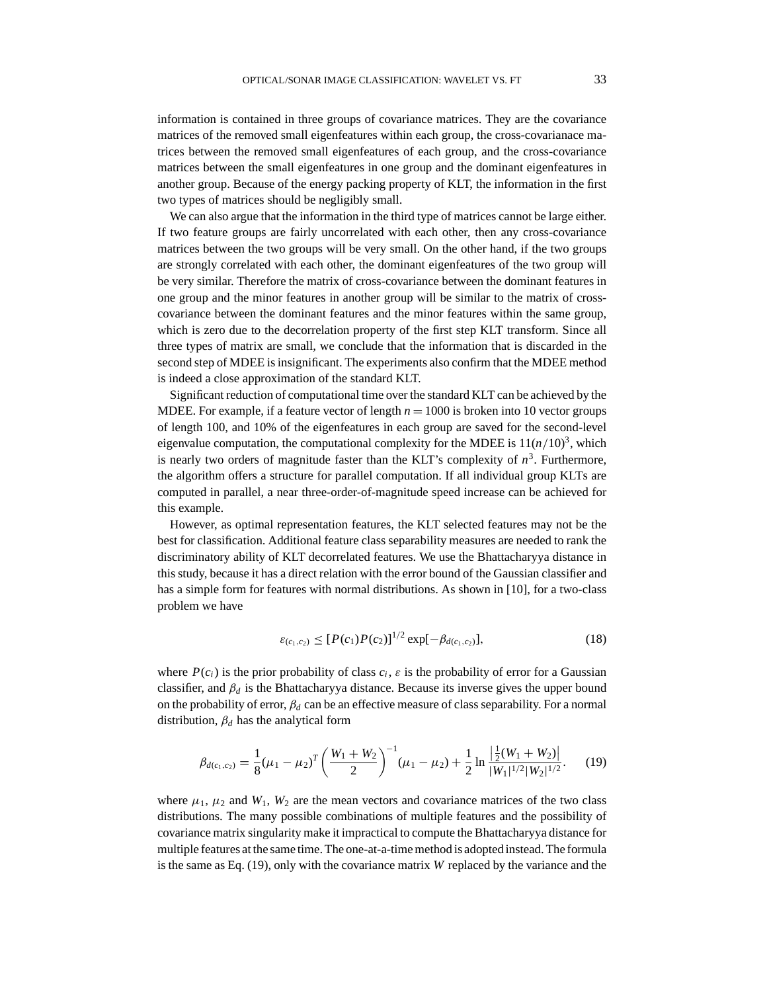information is contained in three groups of covariance matrices. They are the covariance matrices of the removed small eigenfeatures within each group, the cross-covarianace matrices between the removed small eigenfeatures of each group, and the cross-covariance matrices between the small eigenfeatures in one group and the dominant eigenfeatures in another group. Because of the energy packing property of KLT, the information in the first two types of matrices should be negligibly small.

We can also argue that the information in the third type of matrices cannot be large either. If two feature groups are fairly uncorrelated with each other, then any cross-covariance matrices between the two groups will be very small. On the other hand, if the two groups are strongly correlated with each other, the dominant eigenfeatures of the two group will be very similar. Therefore the matrix of cross-covariance between the dominant features in one group and the minor features in another group will be similar to the matrix of crosscovariance between the dominant features and the minor features within the same group, which is zero due to the decorrelation property of the first step KLT transform. Since all three types of matrix are small, we conclude that the information that is discarded in the second step of MDEE is insignificant. The experiments also confirm that the MDEE method is indeed a close approximation of the standard KLT.

Significant reduction of computational time over the standard KLT can be achieved by the MDEE. For example, if a feature vector of length  $n = 1000$  is broken into 10 vector groups of length 100, and 10% of the eigenfeatures in each group are saved for the second-level eigenvalue computation, the computational complexity for the MDEE is  $11(n/10)^3$ , which is nearly two orders of magnitude faster than the KLT's complexity of  $n<sup>3</sup>$ . Furthermore, the algorithm offers a structure for parallel computation. If all individual group KLTs are computed in parallel, a near three-order-of-magnitude speed increase can be achieved for this example.

However, as optimal representation features, the KLT selected features may not be the best for classification. Additional feature class separability measures are needed to rank the discriminatory ability of KLT decorrelated features. We use the Bhattacharyya distance in this study, because it has a direct relation with the error bound of the Gaussian classifier and has a simple form for features with normal distributions. As shown in [10], for a two-class problem we have

$$
\varepsilon_{(c_1,c_2)} \le [P(c_1)P(c_2)]^{1/2} \exp[-\beta_{d(c_1,c_2)}],\tag{18}
$$

where  $P(c_i)$  is the prior probability of class  $c_i$ ,  $\varepsilon$  is the probability of error for a Gaussian classifier, and  $\beta_d$  is the Bhattacharyya distance. Because its inverse gives the upper bound on the probability of error,  $\beta_d$  can be an effective measure of class separability. For a normal distribution, β*<sup>d</sup>* has the analytical form

$$
\beta_{d(c_1,c_2)} = \frac{1}{8}(\mu_1 - \mu_2)^T \left(\frac{W_1 + W_2}{2}\right)^{-1}(\mu_1 - \mu_2) + \frac{1}{2}\ln\frac{|\frac{1}{2}(W_1 + W_2)|}{|W_1|^{1/2}|W_2|^{1/2}}.
$$
 (19)

where  $\mu_1$ ,  $\mu_2$  and  $W_1$ ,  $W_2$  are the mean vectors and covariance matrices of the two class distributions. The many possible combinations of multiple features and the possibility of covariance matrix singularity make it impractical to compute the Bhattacharyya distance for multiple features at the same time. The one-at-a-time method is adopted instead. The formula is the same as Eq. (19), only with the covariance matrix *W* replaced by the variance and the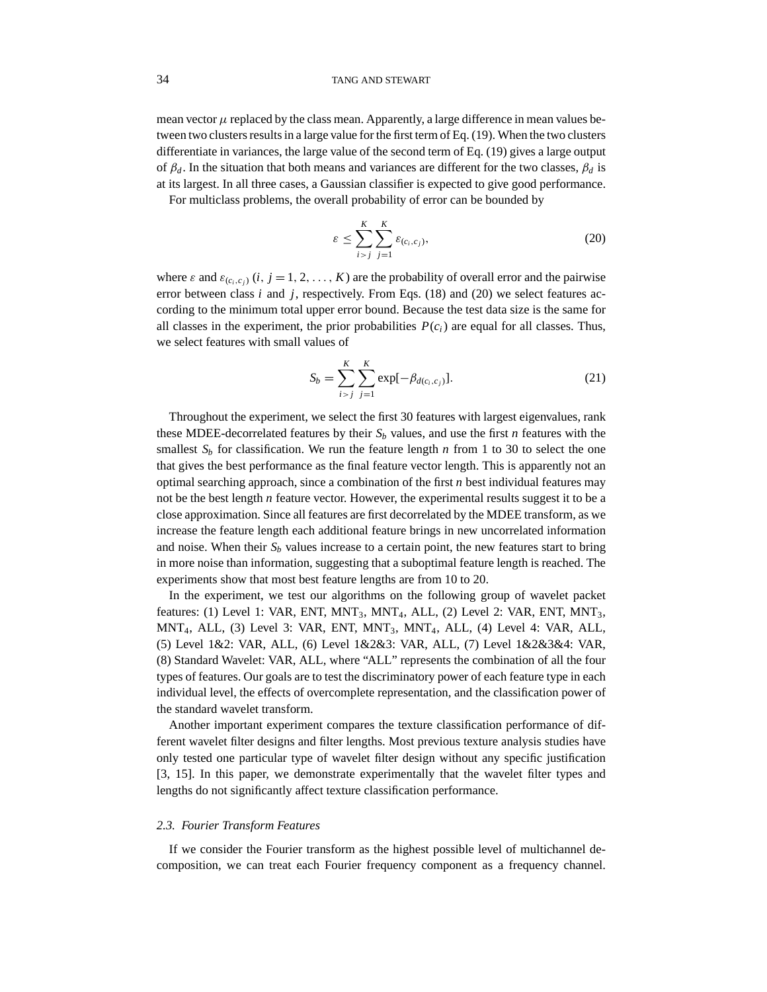mean vector  $\mu$  replaced by the class mean. Apparently, a large difference in mean values between two clusters results in a large value for the first term of Eq. (19). When the two clusters differentiate in variances, the large value of the second term of Eq. (19) gives a large output of  $\beta_d$ . In the situation that both means and variances are different for the two classes,  $\beta_d$  is at its largest. In all three cases, a Gaussian classifier is expected to give good performance.

For multiclass problems, the overall probability of error can be bounded by

$$
\varepsilon \le \sum_{i>j}^{K} \sum_{j=1}^{K} \varepsilon_{(c_i,c_j)},\tag{20}
$$

where  $\varepsilon$  and  $\varepsilon_{(c_i,c_i)}$   $(i, j = 1, 2, ..., K)$  are the probability of overall error and the pairwise error between class *i* and *j*, respectively. From Eqs. (18) and (20) we select features according to the minimum total upper error bound. Because the test data size is the same for all classes in the experiment, the prior probabilities  $P(c_i)$  are equal for all classes. Thus, we select features with small values of

$$
S_b = \sum_{i>j}^{K} \sum_{j=1}^{K} \exp[-\beta_{d(c_i, c_j)}].
$$
 (21)

Throughout the experiment, we select the first 30 features with largest eigenvalues, rank these MDEE-decorrelated features by their  $S_b$  values, and use the first *n* features with the smallest  $S_b$  for classification. We run the feature length *n* from 1 to 30 to select the one that gives the best performance as the final feature vector length. This is apparently not an optimal searching approach, since a combination of the first *n* best individual features may not be the best length  $n$  feature vector. However, the experimental results suggest it to be a close approximation. Since all features are first decorrelated by the MDEE transform, as we increase the feature length each additional feature brings in new uncorrelated information and noise. When their  $S_b$  values increase to a certain point, the new features start to bring in more noise than information, suggesting that a suboptimal feature length is reached. The experiments show that most best feature lengths are from 10 to 20.

In the experiment, we test our algorithms on the following group of wavelet packet features: (1) Level 1: VAR, ENT,  $MNT_3$ ,  $MNT_4$ , ALL, (2) Level 2: VAR, ENT,  $MNT_3$ ,  $MNT<sub>4</sub>$ , ALL, (3) Level 3: VAR, ENT,  $MNT<sub>3</sub>$ ,  $MNT<sub>4</sub>$ , ALL, (4) Level 4: VAR, ALL, (5) Level 1&2: VAR, ALL, (6) Level 1&2&3: VAR, ALL, (7) Level 1&2&3&4: VAR, (8) Standard Wavelet: VAR, ALL, where "ALL" represents the combination of all the four types of features. Our goals are to test the discriminatory power of each feature type in each individual level, the effects of overcomplete representation, and the classification power of the standard wavelet transform.

Another important experiment compares the texture classification performance of different wavelet filter designs and filter lengths. Most previous texture analysis studies have only tested one particular type of wavelet filter design without any specific justification [3, 15]. In this paper, we demonstrate experimentally that the wavelet filter types and lengths do not significantly affect texture classification performance.

#### *2.3. Fourier Transform Features*

If we consider the Fourier transform as the highest possible level of multichannel decomposition, we can treat each Fourier frequency component as a frequency channel.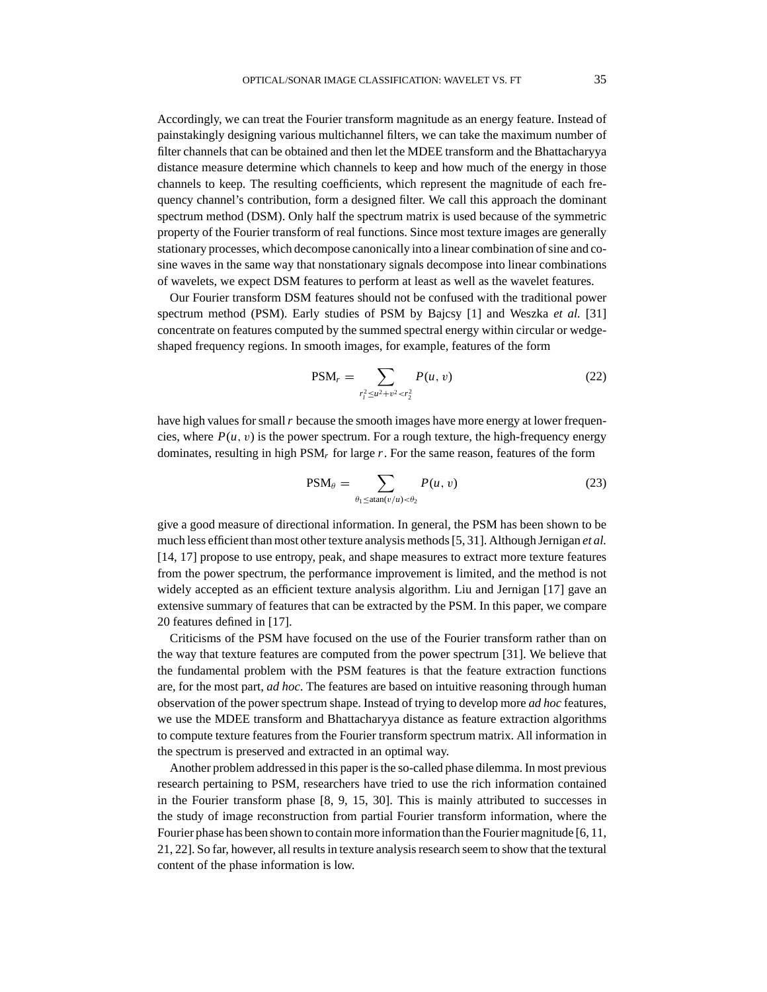Accordingly, we can treat the Fourier transform magnitude as an energy feature. Instead of painstakingly designing various multichannel filters, we can take the maximum number of filter channels that can be obtained and then let the MDEE transform and the Bhattacharyya distance measure determine which channels to keep and how much of the energy in those channels to keep. The resulting coefficients, which represent the magnitude of each frequency channel's contribution, form a designed filter. We call this approach the dominant spectrum method (DSM). Only half the spectrum matrix is used because of the symmetric property of the Fourier transform of real functions. Since most texture images are generally stationary processes, which decompose canonically into a linear combination of sine and cosine waves in the same way that nonstationary signals decompose into linear combinations of wavelets, we expect DSM features to perform at least as well as the wavelet features.

Our Fourier transform DSM features should not be confused with the traditional power spectrum method (PSM). Early studies of PSM by Bajcsy [1] and Weszka *et al.* [31] concentrate on features computed by the summed spectral energy within circular or wedgeshaped frequency regions. In smooth images, for example, features of the form

$$
PSM_r = \sum_{r_1^2 \le u^2 + v^2 < r_2^2} P(u, v) \tag{22}
$$

have high values for small*r* because the smooth images have more energy at lower frequencies, where  $P(u, v)$  is the power spectrum. For a rough texture, the high-frequency energy dominates, resulting in high PSM*<sup>r</sup>* for large *r*. For the same reason, features of the form

$$
PSM_{\theta} = \sum_{\theta_1 \le \text{atan}(v/u) < \theta_2} P(u, v) \tag{23}
$$

give a good measure of directional information. In general, the PSM has been shown to be much less efficient than most other texture analysis methods [5, 31]. Although Jernigan *et al.* [14, 17] propose to use entropy, peak, and shape measures to extract more texture features from the power spectrum, the performance improvement is limited, and the method is not widely accepted as an efficient texture analysis algorithm. Liu and Jernigan [17] gave an extensive summary of features that can be extracted by the PSM. In this paper, we compare 20 features defined in [17].

Criticisms of the PSM have focused on the use of the Fourier transform rather than on the way that texture features are computed from the power spectrum [31]. We believe that the fundamental problem with the PSM features is that the feature extraction functions are, for the most part, *ad hoc*. The features are based on intuitive reasoning through human observation of the power spectrum shape. Instead of trying to develop more *ad hoc* features, we use the MDEE transform and Bhattacharyya distance as feature extraction algorithms to compute texture features from the Fourier transform spectrum matrix. All information in the spectrum is preserved and extracted in an optimal way.

Another problem addressed in this paper is the so-called phase dilemma. In most previous research pertaining to PSM, researchers have tried to use the rich information contained in the Fourier transform phase [8, 9, 15, 30]. This is mainly attributed to successes in the study of image reconstruction from partial Fourier transform information, where the Fourier phase has been shown to contain more information than the Fourier magnitude [6, 11, 21, 22]. So far, however, all results in texture analysis research seem to show that the textural content of the phase information is low.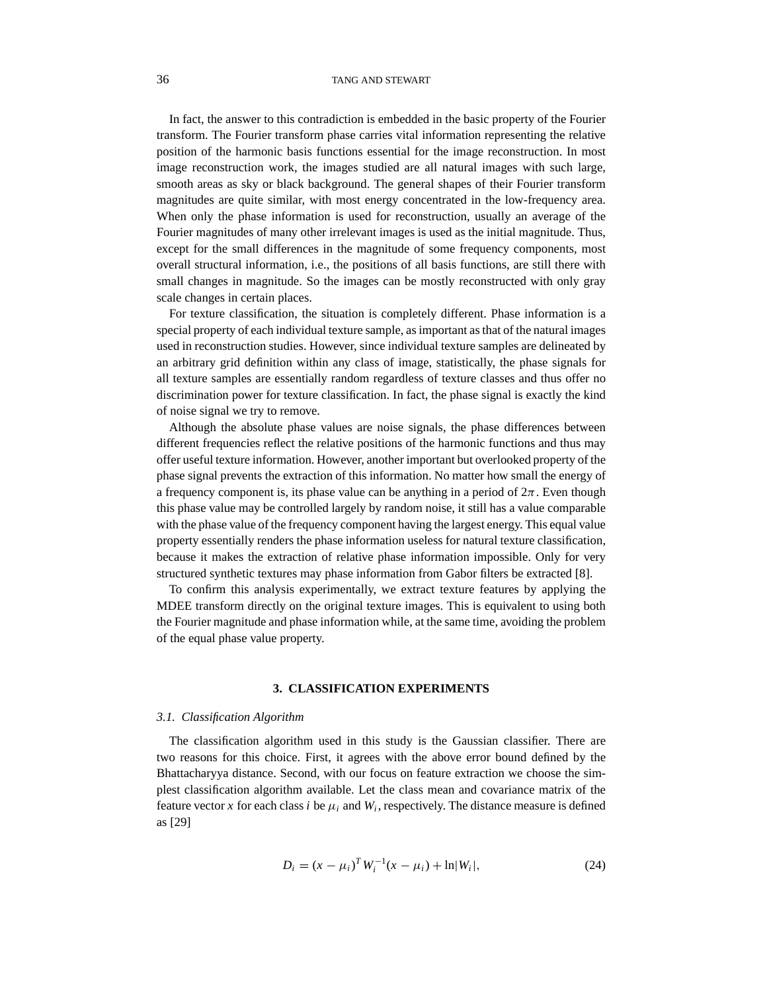In fact, the answer to this contradiction is embedded in the basic property of the Fourier transform. The Fourier transform phase carries vital information representing the relative position of the harmonic basis functions essential for the image reconstruction. In most image reconstruction work, the images studied are all natural images with such large, smooth areas as sky or black background. The general shapes of their Fourier transform magnitudes are quite similar, with most energy concentrated in the low-frequency area. When only the phase information is used for reconstruction, usually an average of the Fourier magnitudes of many other irrelevant images is used as the initial magnitude. Thus, except for the small differences in the magnitude of some frequency components, most overall structural information, i.e., the positions of all basis functions, are still there with small changes in magnitude. So the images can be mostly reconstructed with only gray scale changes in certain places.

For texture classification, the situation is completely different. Phase information is a special property of each individual texture sample, as important as that of the natural images used in reconstruction studies. However, since individual texture samples are delineated by an arbitrary grid definition within any class of image, statistically, the phase signals for all texture samples are essentially random regardless of texture classes and thus offer no discrimination power for texture classification. In fact, the phase signal is exactly the kind of noise signal we try to remove.

Although the absolute phase values are noise signals, the phase differences between different frequencies reflect the relative positions of the harmonic functions and thus may offer useful texture information. However, another important but overlooked property of the phase signal prevents the extraction of this information. No matter how small the energy of a frequency component is, its phase value can be anything in a period of  $2\pi$ . Even though this phase value may be controlled largely by random noise, it still has a value comparable with the phase value of the frequency component having the largest energy. This equal value property essentially renders the phase information useless for natural texture classification, because it makes the extraction of relative phase information impossible. Only for very structured synthetic textures may phase information from Gabor filters be extracted [8].

To confirm this analysis experimentally, we extract texture features by applying the MDEE transform directly on the original texture images. This is equivalent to using both the Fourier magnitude and phase information while, at the same time, avoiding the problem of the equal phase value property.

## **3. CLASSIFICATION EXPERIMENTS**

#### *3.1. Classification Algorithm*

The classification algorithm used in this study is the Gaussian classifier. There are two reasons for this choice. First, it agrees with the above error bound defined by the Bhattacharyya distance. Second, with our focus on feature extraction we choose the simplest classification algorithm available. Let the class mean and covariance matrix of the feature vector x for each class *i* be  $\mu_i$  and  $W_i$ , respectively. The distance measure is defined as [29]

$$
D_i = (x - \mu_i)^T W_i^{-1} (x - \mu_i) + \ln|W_i|,
$$
\n(24)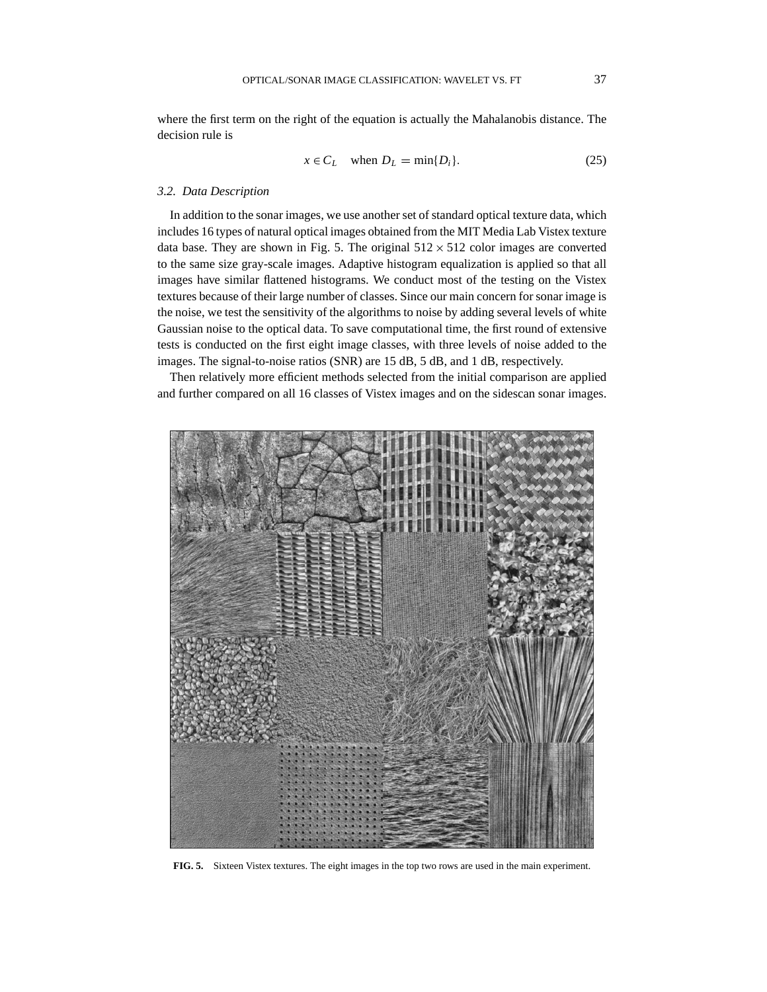where the first term on the right of the equation is actually the Mahalanobis distance. The decision rule is

$$
x \in C_L \quad \text{when } D_L = \min\{D_i\}. \tag{25}
$$

#### *3.2. Data Description*

In addition to the sonar images, we use another set of standard optical texture data, which includes 16 types of natural optical images obtained from the MIT Media Lab Vistex texture data base. They are shown in Fig. 5. The original  $512 \times 512$  color images are converted to the same size gray-scale images. Adaptive histogram equalization is applied so that all images have similar flattened histograms. We conduct most of the testing on the Vistex textures because of their large number of classes. Since our main concern for sonar image is the noise, we test the sensitivity of the algorithms to noise by adding several levels of white Gaussian noise to the optical data. To save computational time, the first round of extensive tests is conducted on the first eight image classes, with three levels of noise added to the images. The signal-to-noise ratios (SNR) are 15 dB, 5 dB, and 1 dB, respectively.

Then relatively more efficient methods selected from the initial comparison are applied and further compared on all 16 classes of Vistex images and on the sidescan sonar images.



**FIG. 5.** Sixteen Vistex textures. The eight images in the top two rows are used in the main experiment.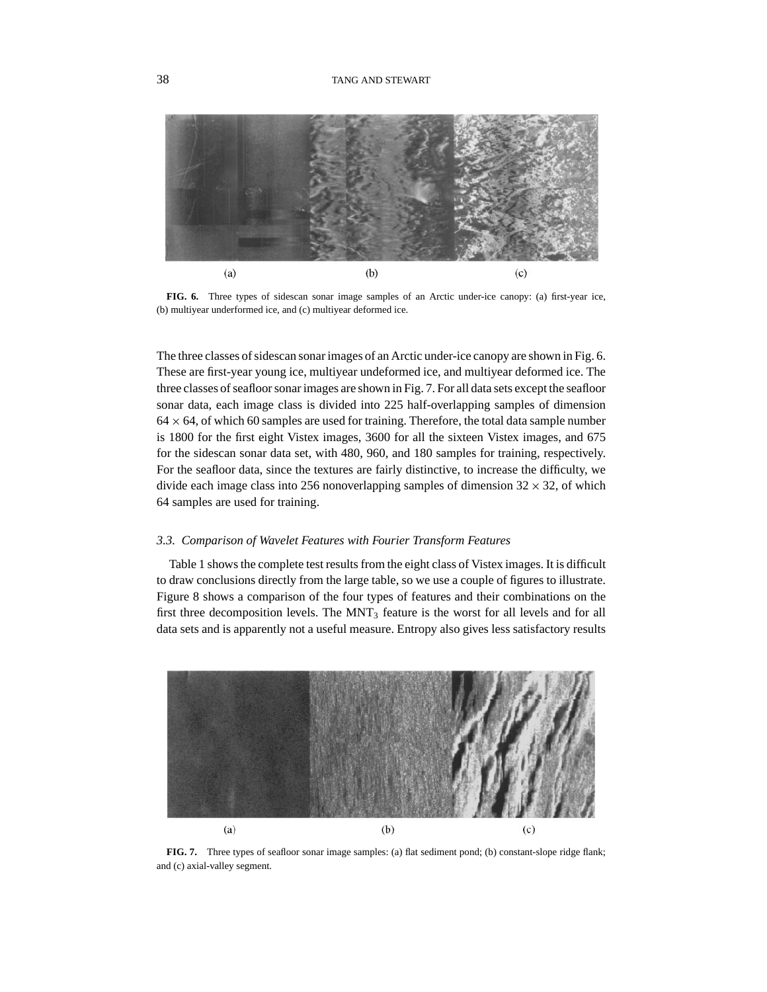

**FIG. 6.** Three types of sidescan sonar image samples of an Arctic under-ice canopy: (a) first-year ice, (b) multiyear underformed ice, and (c) multiyear deformed ice.

The three classes of sidescan sonar images of an Arctic under-ice canopy are shown in Fig. 6. These are first-year young ice, multiyear undeformed ice, and multiyear deformed ice. The three classes of seafloor sonar images are shown in Fig. 7. For all data sets except the seafloor sonar data, each image class is divided into 225 half-overlapping samples of dimension  $64 \times 64$ , of which 60 samples are used for training. Therefore, the total data sample number is 1800 for the first eight Vistex images, 3600 for all the sixteen Vistex images, and 675 for the sidescan sonar data set, with 480, 960, and 180 samples for training, respectively. For the seafloor data, since the textures are fairly distinctive, to increase the difficulty, we divide each image class into 256 nonoverlapping samples of dimension  $32 \times 32$ , of which 64 samples are used for training.

# *3.3. Comparison of Wavelet Features with Fourier Transform Features*

Table 1 shows the complete test results from the eight class of Vistex images. It is difficult to draw conclusions directly from the large table, so we use a couple of figures to illustrate. Figure 8 shows a comparison of the four types of features and their combinations on the first three decomposition levels. The  $MNT<sub>3</sub>$  feature is the worst for all levels and for all data sets and is apparently not a useful measure. Entropy also gives less satisfactory results



**FIG. 7.** Three types of seafloor sonar image samples: (a) flat sediment pond; (b) constant-slope ridge flank; and (c) axial-valley segment.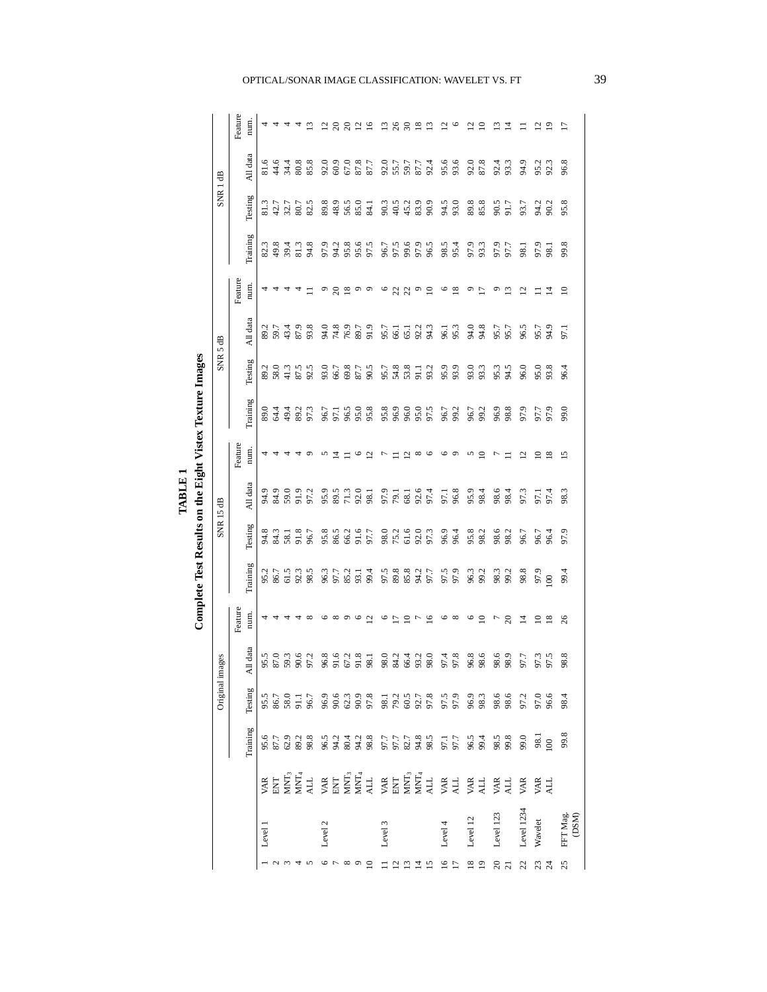| ÷ |
|---|
|   |
| ╸ |
|   |
| ٠ |
|   |

Complete Test Results on the Eight Vistex Texture Images **Complete Test Results on the Eight Vistex Texture Images**

|                |                   |                                                                                                                                                                                                                                 |                     | Original images         |                               |               |                      | <b>SNR 15 dB</b> |                              |             |                      | SNR 5 dB                                         |                      |                |                      | SNR1dB                       |                              |             |
|----------------|-------------------|---------------------------------------------------------------------------------------------------------------------------------------------------------------------------------------------------------------------------------|---------------------|-------------------------|-------------------------------|---------------|----------------------|------------------|------------------------------|-------------|----------------------|--------------------------------------------------|----------------------|----------------|----------------------|------------------------------|------------------------------|-------------|
|                |                   |                                                                                                                                                                                                                                 |                     |                         |                               | Feature       |                      |                  |                              | Feature     |                      |                                                  |                      | Feature        |                      |                              |                              | Feature     |
|                |                   |                                                                                                                                                                                                                                 | Training            | Testing                 | All data                      | num.          | Training             | Testing          | All data                     | num.        | Training             | Testing                                          | All data             | num.           | Training             | Testing                      | All data                     | num.        |
|                | $L$ evel $1$      |                                                                                                                                                                                                                                 |                     |                         |                               |               | 95.2                 |                  | 94.9                         |             | 89.0                 |                                                  |                      |                | 82.3                 |                              |                              |             |
|                |                   |                                                                                                                                                                                                                                 |                     |                         |                               |               | 86.7                 | 94.3<br>84.3     | 84.9                         |             | 64.4                 | 89.2<br>58.0                                     | 89.7<br>59.7         |                | 49.8                 | 81.3<br>42.7                 | 81.6<br>44.6                 |             |
|                |                   |                                                                                                                                                                                                                                 |                     |                         | 5<br>203<br>203<br>203        |               |                      |                  |                              |             | 49.4                 |                                                  |                      |                | $\frac{4}{81.3}$     | 32.7<br>80.7                 |                              |             |
|                |                   |                                                                                                                                                                                                                                 |                     |                         |                               |               | 61.5<br>92.3         | 58.1<br>91.8     | 59.9<br>9.12<br>97.2         |             | 89.2                 | $\begin{array}{c} 4.3 \\ 2.5 \\ 2.5 \end{array}$ | 43.4<br>87.9<br>93.8 |                |                      |                              | 34.4<br>80.8<br>85.8         |             |
|                |                   |                                                                                                                                                                                                                                 |                     |                         |                               |               | 98.5                 | 96.7             |                              |             | 97.3                 |                                                  |                      |                | 94.8                 | 82.5                         |                              |             |
|                | Level 2           |                                                                                                                                                                                                                                 |                     |                         |                               |               |                      | 95.8             |                              |             | 96.7                 | 93.0                                             |                      |                | 97.9                 |                              |                              |             |
|                |                   |                                                                                                                                                                                                                                 |                     |                         | 8.9 0 0 0 0 0<br>8 5 6 5 8 9  |               | 96.3<br>97.7         |                  | 95.9<br>89.7<br>98.1<br>98.1 |             | <b>P2</b>            |                                                  | 03<br>14.8<br>16.9   |                | 94.2                 | 83<br>834<br>845<br>835      | 92.0<br>60.9<br>57.7<br>87.7 |             |
|                |                   |                                                                                                                                                                                                                                 |                     |                         |                               |               |                      | 86.3<br>66.2     |                              |             | 96.5                 | 7<br>89<br>87<br>99<br>87                        |                      | ≌              | 95.8                 |                              |                              | $\approx$   |
|                |                   |                                                                                                                                                                                                                                 |                     |                         |                               |               | 85.2<br>93.1<br>99.4 | 91.6             |                              |             |                      |                                                  | 89.7                 |                |                      |                              |                              | 5           |
|                |                   |                                                                                                                                                                                                                                 |                     |                         |                               |               |                      | 97.7             |                              |             | 95.8                 | 90.5                                             | 91.9                 |                | 95.6<br>97.5         |                              |                              | $\tilde{a}$ |
|                | Level 3           |                                                                                                                                                                                                                                 |                     | 812<br>825<br>825 85 95 |                               |               |                      | 98.0             |                              |             |                      |                                                  |                      |                |                      |                              | 92.0                         |             |
| $\overline{c}$ |                   |                                                                                                                                                                                                                                 |                     |                         |                               |               |                      |                  |                              |             |                      |                                                  |                      |                |                      |                              |                              |             |
|                |                   |                                                                                                                                                                                                                                 |                     |                         | 0<br>8 3 4 5 9 8<br>9 8 9 8 9 |               |                      | 75.2<br>61.6     |                              |             | 95.8<br>96.9<br>96.0 | 55.3<br>55.35<br>55.58                           | 55<br>565333         |                | 96.7<br>97.5<br>97.9 | 90.3<br>90.4<br>90.9<br>90.9 | 55.7                         | ≌           |
| $\vec{a}$      |                   |                                                                                                                                                                                                                                 |                     |                         |                               |               |                      | 92.0             |                              |             |                      |                                                  |                      |                |                      |                              | 87.7                         | ≌           |
| $\overline{5}$ |                   |                                                                                                                                                                                                                                 |                     |                         |                               | ≌             | 97.7                 | 97.3             | 97.9<br>79.1<br>97.4         |             | 95.5                 | 93.2                                             |                      | $\subseteq$    | 96.5                 | 90.9                         | 92.4                         | $\Xi$       |
| $\frac{6}{2}$  | Level 4           |                                                                                                                                                                                                                                 |                     |                         |                               |               |                      |                  |                              |             | 96.7                 |                                                  | 96.1                 |                |                      |                              |                              | 7           |
|                |                   |                                                                                                                                                                                                                                 |                     |                         | 97.8<br>97.8                  |               | 97.5<br>97.9         | 96.4<br>96.4     | 97.1<br>96.8                 |             | 99.2                 | 95.9<br>93.9                                     | 95.3                 |                | 98.5<br>95.4         | 94.5<br>93.0                 | 95.6<br>93.6                 | $\circ$     |
| $\frac{8}{19}$ | Level 12          | FRIELE SE SERVE SE SERVE SE SERVE SE SERVE SE SERVE SERVE SERVE SERVE SE SERVE SERVE SERVE SERVE SERVE SERVE S<br>SERVE SERVE SERVE SERVE SERVE SERVE SERVE SERVE SERVE SERVE SERVE SERVE SERVE SERVE SERVE SERVE SERVE SERVE S |                     | 96.9<br>98.3            | 96.8<br>98.6                  |               | 96.3                 | 95.8<br>98.2     | 95.9<br>98.4                 |             |                      |                                                  | 94.0                 |                |                      |                              |                              | ₫           |
|                |                   |                                                                                                                                                                                                                                 |                     |                         |                               | ≘             | 99.2                 |                  |                              |             | 96.7<br>99.2         | 93.3<br>93.3                                     | 94.8                 |                | 97.9                 | 89.8<br>85.8                 | 92.0<br>87.8                 | ≘           |
|                | Level 123         | VAR<br>ALL                                                                                                                                                                                                                      |                     | 98.6<br>98.6            |                               |               | 98.3                 | 98.6             |                              |             |                      | 95.3                                             | 95.7                 |                |                      | 90.5                         | 92.4                         | ≌           |
| 20             |                   |                                                                                                                                                                                                                                 |                     |                         | 98.9                          | $\Omega$      | 99.2                 | 98.2             | 98.4                         |             | 96.9<br>98.8         | 94.5                                             | 95.7                 | ≌              | 97.7<br>97.7         | 91.7                         | 93.3                         | 그           |
| 22             | Level 1234        | VAR                                                                                                                                                                                                                             |                     | 97.2                    | 97.7                          | ᅼ             | 98.8                 | 96.7             | 97.3                         | 5           | 97.9                 | 96.0                                             | 96.5                 | $\bar{\omega}$ | 98.1                 | 93.7                         | 94.9                         |             |
| 23             | Wavelet           | VAR<br>ALL                                                                                                                                                                                                                      | 98.1<br>100<br>99.8 | 97.0<br>96.6            | 97.5                          | ≘             | 97.9                 | 96.7             | 97.1<br>97.4                 | $\supseteq$ | 97.7<br>97.9         | 95.8<br>93.8                                     | 95.7<br>94.9         |                | 97.9                 | 94.2                         | 95.2<br>92.3                 |             |
|                |                   |                                                                                                                                                                                                                                 |                     |                         |                               | $\frac{8}{2}$ |                      | 96.4             |                              | $\approx$   |                      |                                                  |                      |                |                      | 90.2                         |                              | ⊵           |
| 25             | FFT Mag.<br>(DSM) |                                                                                                                                                                                                                                 |                     | 98.4                    | 98.8                          | 26            | 99.4                 | 97.9             | 98.3                         | 51          | 99.0                 | 96.4                                             | $\overline{5}$       | ≘              | 99.8                 | 95.8                         | 96.8                         | ⊵           |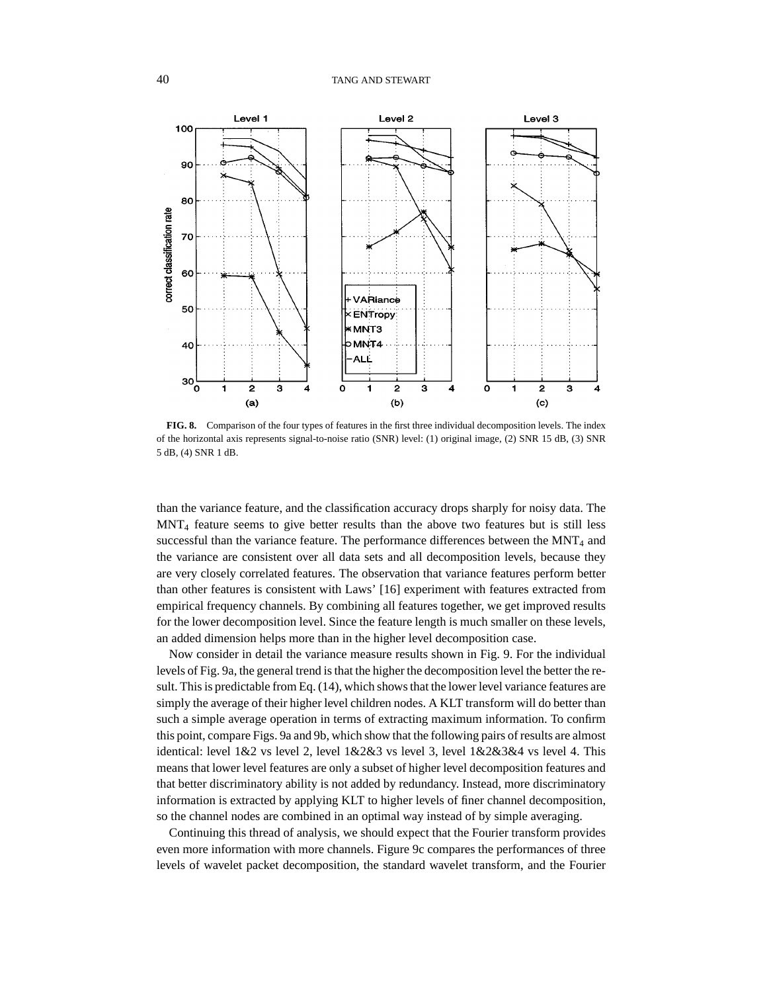#### 40 TANG AND STEWART



**FIG. 8.** Comparison of the four types of features in the first three individual decomposition levels. The index of the horizontal axis represents signal-to-noise ratio (SNR) level: (1) original image, (2) SNR 15 dB, (3) SNR 5 dB, (4) SNR 1 dB.

than the variance feature, and the classification accuracy drops sharply for noisy data. The  $MNT<sub>4</sub>$  feature seems to give better results than the above two features but is still less successful than the variance feature. The performance differences between the  $MNT<sub>4</sub>$  and the variance are consistent over all data sets and all decomposition levels, because they are very closely correlated features. The observation that variance features perform better than other features is consistent with Laws' [16] experiment with features extracted from empirical frequency channels. By combining all features together, we get improved results for the lower decomposition level. Since the feature length is much smaller on these levels, an added dimension helps more than in the higher level decomposition case.

Now consider in detail the variance measure results shown in Fig. 9. For the individual levels of Fig. 9a, the general trend is that the higher the decomposition level the better the result. This is predictable from Eq. (14), which shows that the lower level variance features are simply the average of their higher level children nodes. A KLT transform will do better than such a simple average operation in terms of extracting maximum information. To confirm this point, compare Figs. 9a and 9b, which show that the following pairs of results are almost identical: level  $1\&2$  vs level 2, level  $1\&2\&3$  vs level 3, level  $1\&2\&3\&4$  vs level 4. This means that lower level features are only a subset of higher level decomposition features and that better discriminatory ability is not added by redundancy. Instead, more discriminatory information is extracted by applying KLT to higher levels of finer channel decomposition, so the channel nodes are combined in an optimal way instead of by simple averaging.

Continuing this thread of analysis, we should expect that the Fourier transform provides even more information with more channels. Figure 9c compares the performances of three levels of wavelet packet decomposition, the standard wavelet transform, and the Fourier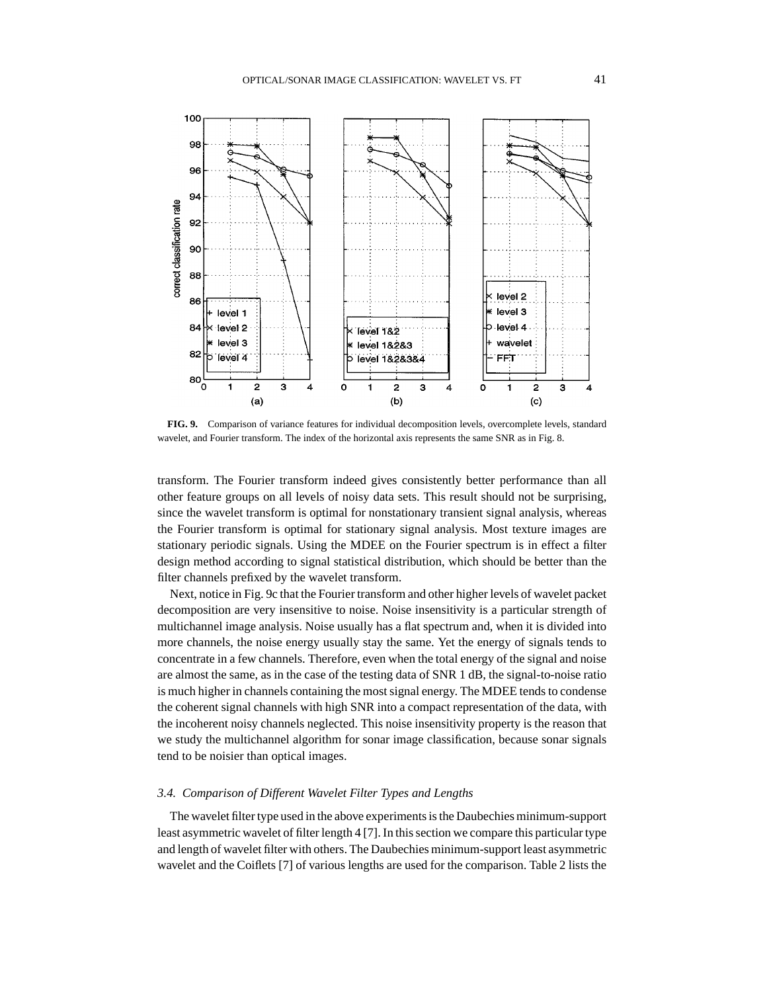

**FIG. 9.** Comparison of variance features for individual decomposition levels, overcomplete levels, standard wavelet, and Fourier transform. The index of the horizontal axis represents the same SNR as in Fig. 8.

transform. The Fourier transform indeed gives consistently better performance than all other feature groups on all levels of noisy data sets. This result should not be surprising, since the wavelet transform is optimal for nonstationary transient signal analysis, whereas the Fourier transform is optimal for stationary signal analysis. Most texture images are stationary periodic signals. Using the MDEE on the Fourier spectrum is in effect a filter design method according to signal statistical distribution, which should be better than the filter channels prefixed by the wavelet transform.

Next, notice in Fig. 9c that the Fourier transform and other higher levels of wavelet packet decomposition are very insensitive to noise. Noise insensitivity is a particular strength of multichannel image analysis. Noise usually has a flat spectrum and, when it is divided into more channels, the noise energy usually stay the same. Yet the energy of signals tends to concentrate in a few channels. Therefore, even when the total energy of the signal and noise are almost the same, as in the case of the testing data of SNR 1 dB, the signal-to-noise ratio is much higher in channels containing the most signal energy. The MDEE tends to condense the coherent signal channels with high SNR into a compact representation of the data, with the incoherent noisy channels neglected. This noise insensitivity property is the reason that we study the multichannel algorithm for sonar image classification, because sonar signals tend to be noisier than optical images.

#### *3.4. Comparison of Different Wavelet Filter Types and Lengths*

The wavelet filter type used in the above experiments is the Daubechies minimum-support least asymmetric wavelet of filter length 4 [7]. In this section we compare this particular type and length of wavelet filter with others. The Daubechies minimum-support least asymmetric wavelet and the Coiflets [7] of various lengths are used for the comparison. Table 2 lists the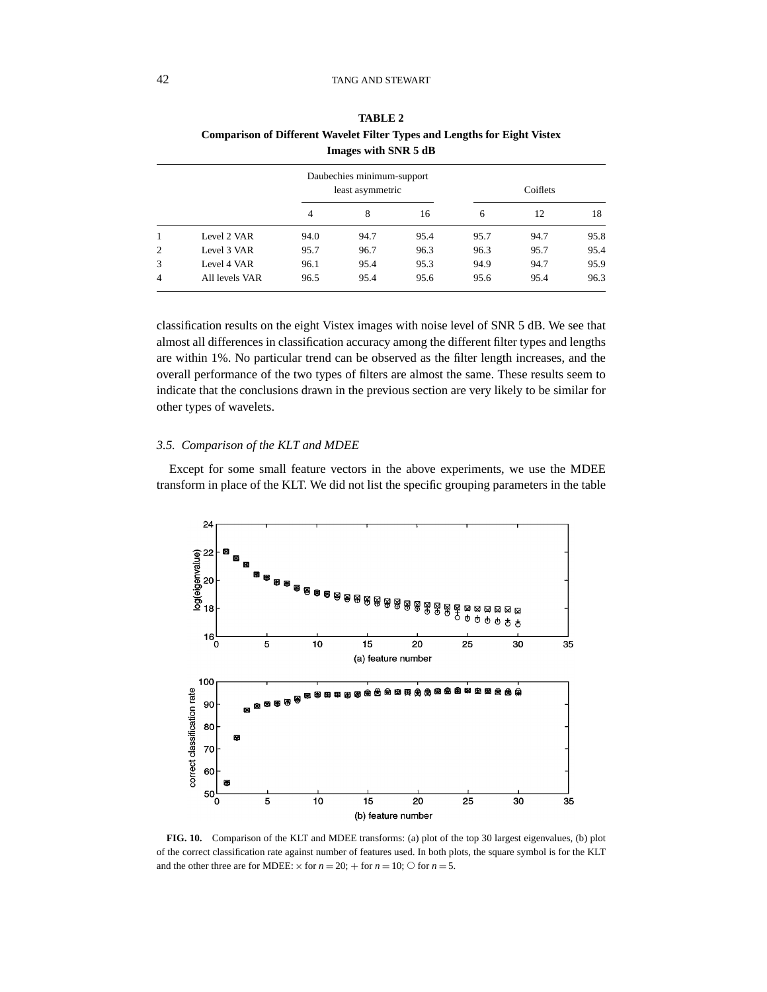|   |                |      | ີ                                              |      |      |          |      |
|---|----------------|------|------------------------------------------------|------|------|----------|------|
|   |                |      | Daubechies minimum-support<br>least asymmetric |      |      | Coiflets |      |
|   |                | 4    | 8                                              | 16   | 6    | 12       | 18   |
|   | Level 2 VAR    | 94.0 | 94.7                                           | 95.4 | 95.7 | 94.7     | 95.8 |
| 2 | Level 3 VAR    | 95.7 | 96.7                                           | 96.3 | 96.3 | 95.7     | 95.4 |
| 3 | Level 4 VAR    | 96.1 | 95.4                                           | 95.3 | 94.9 | 94.7     | 95.9 |
| 4 | All levels VAR | 96.5 | 95.4                                           | 95.6 | 95.6 | 95.4     | 96.3 |
|   |                |      |                                                |      |      |          |      |

**TABLE 2 Comparison of Different Wavelet Filter Types and Lengths for Eight Vistex Images with SNR 5 dB**

classification results on the eight Vistex images with noise level of SNR 5 dB. We see that almost all differences in classification accuracy among the different filter types and lengths are within 1%. No particular trend can be observed as the filter length increases, and the overall performance of the two types of filters are almost the same. These results seem to indicate that the conclusions drawn in the previous section are very likely to be similar for other types of wavelets.

# *3.5. Comparison of the KLT and MDEE*

Except for some small feature vectors in the above experiments, we use the MDEE transform in place of the KLT. We did not list the specific grouping parameters in the table



**FIG. 10.** Comparison of the KLT and MDEE transforms: (a) plot of the top 30 largest eigenvalues, (b) plot of the correct classification rate against number of features used. In both plots, the square symbol is for the KLT and the other three are for MDEE:  $\times$  for  $n = 20$ ;  $+$  for  $n = 10$ ;  $\circ$  for  $n = 5$ .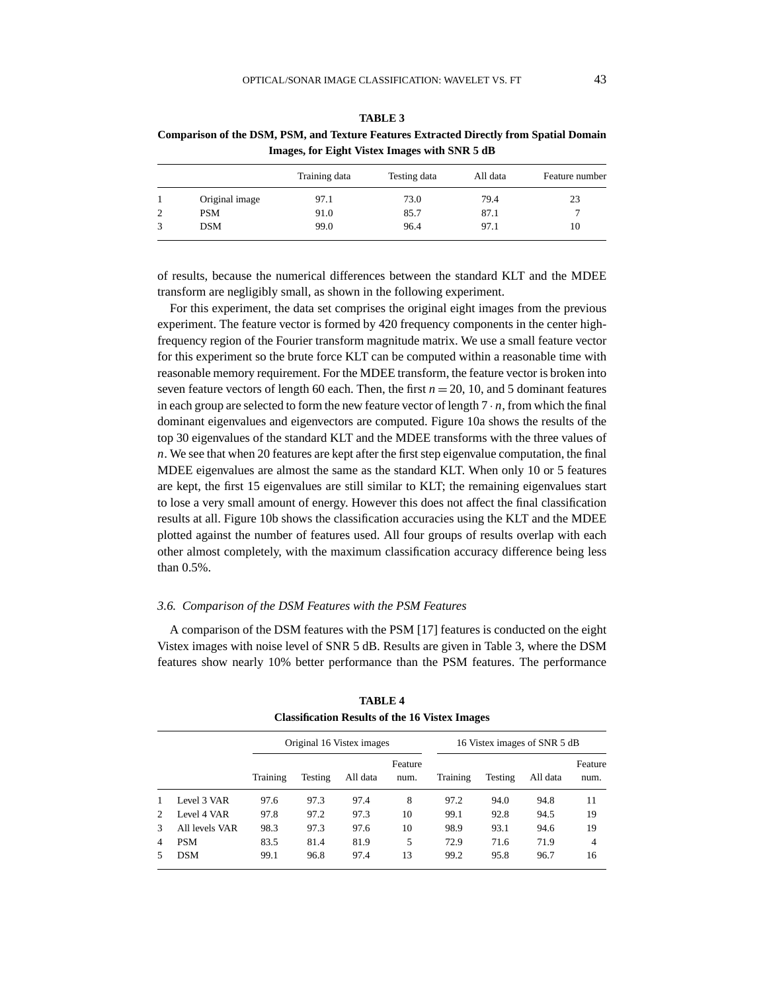|   |                | $\frac{1}{2}$ |              |          |                |
|---|----------------|---------------|--------------|----------|----------------|
|   |                | Training data | Testing data | All data | Feature number |
|   | Original image | 97.1          | 73.0         | 79.4     | 23             |
| 2 | <b>PSM</b>     | 91.0          | 85.7         | 87.1     |                |
| 3 | <b>DSM</b>     | 99.0          | 96.4         | 97.1     | 10             |
|   |                |               |              |          |                |

**TABLE 3 Comparison of the DSM, PSM, and Texture Features Extracted Directly from Spatial Domain Images, for Eight Vistex Images with SNR 5 dB**

of results, because the numerical differences between the standard KLT and the MDEE transform are negligibly small, as shown in the following experiment.

For this experiment, the data set comprises the original eight images from the previous experiment. The feature vector is formed by 420 frequency components in the center highfrequency region of the Fourier transform magnitude matrix. We use a small feature vector for this experiment so the brute force KLT can be computed within a reasonable time with reasonable memory requirement. For the MDEE transform, the feature vector is broken into seven feature vectors of length 60 each. Then, the first  $n = 20$ , 10, and 5 dominant features in each group are selected to form the new feature vector of length  $7 \cdot n$ , from which the final dominant eigenvalues and eigenvectors are computed. Figure 10a shows the results of the top 30 eigenvalues of the standard KLT and the MDEE transforms with the three values of *n*. We see that when 20 features are kept after the first step eigenvalue computation, the final MDEE eigenvalues are almost the same as the standard KLT. When only 10 or 5 features are kept, the first 15 eigenvalues are still similar to KLT; the remaining eigenvalues start to lose a very small amount of energy. However this does not affect the final classification results at all. Figure 10b shows the classification accuracies using the KLT and the MDEE plotted against the number of features used. All four groups of results overlap with each other almost completely, with the maximum classification accuracy difference being less than 0.5%.

# *3.6. Comparison of the DSM Features with the PSM Features*

A comparison of the DSM features with the PSM [17] features is conducted on the eight Vistex images with noise level of SNR 5 dB. Results are given in Table 3, where the DSM features show nearly 10% better performance than the PSM features. The performance

|   |                |          |         |                           |                 | <b>Classification Results of the 16 Vistex Images</b> |         |                              |                 |
|---|----------------|----------|---------|---------------------------|-----------------|-------------------------------------------------------|---------|------------------------------|-----------------|
|   |                |          |         | Original 16 Vistex images |                 |                                                       |         | 16 Vistex images of SNR 5 dB |                 |
|   |                | Training | Testing | All data                  | Feature<br>num. | Training                                              | Testing | All data                     | Feature<br>num. |
| 1 | Level 3 VAR    | 97.6     | 97.3    | 97.4                      | 8               | 97.2                                                  | 94.0    | 94.8                         | 11              |
| 2 | Level 4 VAR    | 97.8     | 97.2    | 97.3                      | 10              | 99.1                                                  | 92.8    | 94.5                         | 19              |
| 3 | All levels VAR | 98.3     | 97.3    | 97.6                      | 10              | 98.9                                                  | 93.1    | 94.6                         | 19              |
| 4 | <b>PSM</b>     | 83.5     | 81.4    | 81.9                      | 5               | 72.9                                                  | 71.6    | 71.9                         | 4               |
| 5 | <b>DSM</b>     | 99.1     | 96.8    | 97.4                      | 13              | 99.2                                                  | 95.8    | 96.7                         | 16              |

**TABLE 4**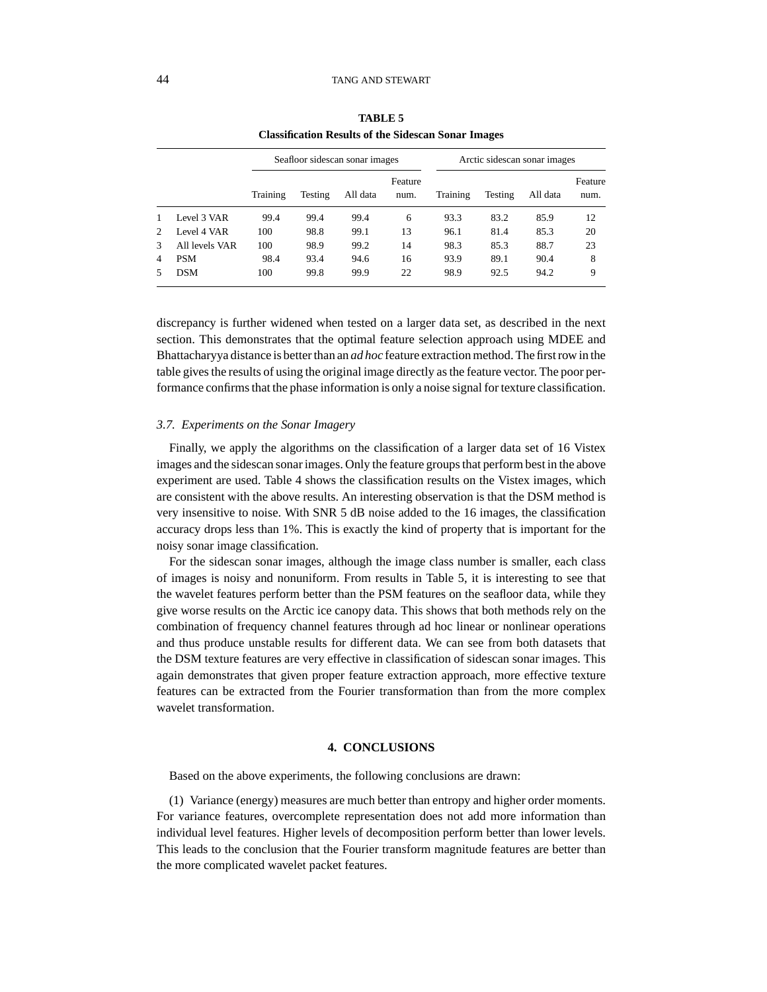|                |                |          |         | Seafloor sidescan sonar images |                 |          |         | Arctic sidescan sonar images |                 |
|----------------|----------------|----------|---------|--------------------------------|-----------------|----------|---------|------------------------------|-----------------|
|                |                | Training | Testing | All data                       | Feature<br>num. | Training | Testing | All data                     | Feature<br>num. |
| $\mathbf{1}$   | Level 3 VAR    | 99.4     | 99.4    | 99.4                           | 6               | 93.3     | 83.2    | 85.9                         | 12              |
| $\overline{2}$ | Level 4 VAR    | 100      | 98.8    | 99.1                           | 13              | 96.1     | 81.4    | 85.3                         | 20              |
| 3              | All levels VAR | 100      | 98.9    | 99.2                           | 14              | 98.3     | 85.3    | 88.7                         | 23              |
| 4              | <b>PSM</b>     | 98.4     | 93.4    | 94.6                           | 16              | 93.9     | 89.1    | 90.4                         | 8               |
| 5.             | <b>DSM</b>     | 100      | 99.8    | 99.9                           | 22              | 98.9     | 92.5    | 94.2                         | 9               |
|                |                |          |         |                                |                 |          |         |                              |                 |

**TABLE 5 Classification Results of the Sidescan Sonar Images**

discrepancy is further widened when tested on a larger data set, as described in the next section. This demonstrates that the optimal feature selection approach using MDEE and Bhattacharyya distance is better than an *ad hoc* feature extraction method. The first row in the table gives the results of using the original image directly as the feature vector. The poor performance confirms that the phase information is only a noise signal for texture classification.

#### *3.7. Experiments on the Sonar Imagery*

Finally, we apply the algorithms on the classification of a larger data set of 16 Vistex images and the sidescan sonar images. Only the feature groups that perform best in the above experiment are used. Table 4 shows the classification results on the Vistex images, which are consistent with the above results. An interesting observation is that the DSM method is very insensitive to noise. With SNR 5 dB noise added to the 16 images, the classification accuracy drops less than 1%. This is exactly the kind of property that is important for the noisy sonar image classification.

For the sidescan sonar images, although the image class number is smaller, each class of images is noisy and nonuniform. From results in Table 5, it is interesting to see that the wavelet features perform better than the PSM features on the seafloor data, while they give worse results on the Arctic ice canopy data. This shows that both methods rely on the combination of frequency channel features through ad hoc linear or nonlinear operations and thus produce unstable results for different data. We can see from both datasets that the DSM texture features are very effective in classification of sidescan sonar images. This again demonstrates that given proper feature extraction approach, more effective texture features can be extracted from the Fourier transformation than from the more complex wavelet transformation.

#### **4. CONCLUSIONS**

Based on the above experiments, the following conclusions are drawn:

(1) Variance (energy) measures are much better than entropy and higher order moments. For variance features, overcomplete representation does not add more information than individual level features. Higher levels of decomposition perform better than lower levels. This leads to the conclusion that the Fourier transform magnitude features are better than the more complicated wavelet packet features.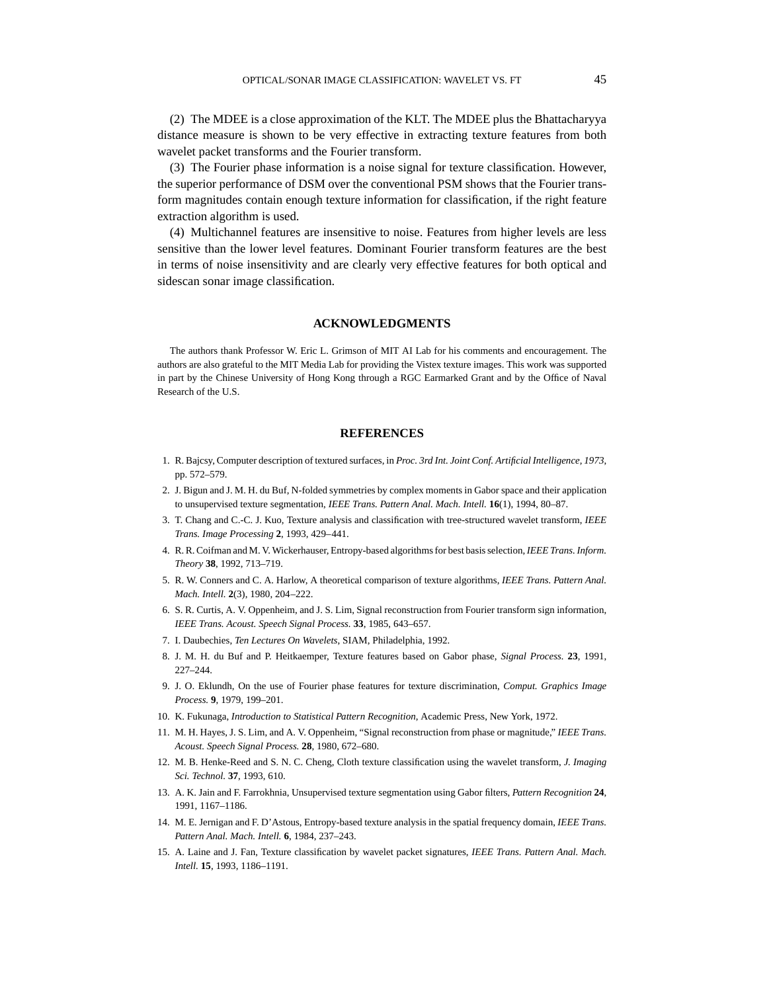(2) The MDEE is a close approximation of the KLT. The MDEE plus the Bhattacharyya distance measure is shown to be very effective in extracting texture features from both wavelet packet transforms and the Fourier transform.

(3) The Fourier phase information is a noise signal for texture classification. However, the superior performance of DSM over the conventional PSM shows that the Fourier transform magnitudes contain enough texture information for classification, if the right feature extraction algorithm is used.

(4) Multichannel features are insensitive to noise. Features from higher levels are less sensitive than the lower level features. Dominant Fourier transform features are the best in terms of noise insensitivity and are clearly very effective features for both optical and sidescan sonar image classification.

#### **ACKNOWLEDGMENTS**

The authors thank Professor W. Eric L. Grimson of MIT AI Lab for his comments and encouragement. The authors are also grateful to the MIT Media Lab for providing the Vistex texture images. This work was supported in part by the Chinese University of Hong Kong through a RGC Earmarked Grant and by the Office of Naval Research of the U.S.

#### **REFERENCES**

- 1. R. Bajcsy, Computer description of textured surfaces, in *Proc. 3rd Int. Joint Conf. Artificial Intelligence, 1973*, pp. 572–579.
- 2. J. Bigun and J. M. H. du Buf, N-folded symmetries by complex moments in Gabor space and their application to unsupervised texture segmentation, *IEEE Trans. Pattern Anal. Mach. Intell.* **16**(1), 1994, 80–87.
- 3. T. Chang and C.-C. J. Kuo, Texture analysis and classification with tree-structured wavelet transform, *IEEE Trans. Image Processing* **2**, 1993, 429–441.
- 4. R. R. Coifman and M. V. Wickerhauser, Entropy-based algorithms for best basis selection,*IEEE Trans. Inform. Theory* **38**, 1992, 713–719.
- 5. R. W. Conners and C. A. Harlow, A theoretical comparison of texture algorithms, *IEEE Trans. Pattern Anal. Mach. Intell.* **2**(3), 1980, 204–222.
- 6. S. R. Curtis, A. V. Oppenheim, and J. S. Lim, Signal reconstruction from Fourier transform sign information, *IEEE Trans. Acoust. Speech Signal Process.* **33**, 1985, 643–657.
- 7. I. Daubechies, *Ten Lectures On Wavelets*, SIAM, Philadelphia, 1992.
- 8. J. M. H. du Buf and P. Heitkaemper, Texture features based on Gabor phase, *Signal Process.* **23**, 1991, 227–244.
- 9. J. O. Eklundh, On the use of Fourier phase features for texture discrimination, *Comput. Graphics Image Process.* **9**, 1979, 199–201.
- 10. K. Fukunaga, *Introduction to Statistical Pattern Recognition*, Academic Press, New York, 1972.
- 11. M. H. Hayes, J. S. Lim, and A. V. Oppenheim, "Signal reconstruction from phase or magnitude," *IEEE Trans. Acoust. Speech Signal Process.* **28**, 1980, 672–680.
- 12. M. B. Henke-Reed and S. N. C. Cheng, Cloth texture classification using the wavelet transform, *J. Imaging Sci. Technol.* **37**, 1993, 610.
- 13. A. K. Jain and F. Farrokhnia, Unsupervised texture segmentation using Gabor filters, *Pattern Recognition* **24**, 1991, 1167–1186.
- 14. M. E. Jernigan and F. D'Astous, Entropy-based texture analysis in the spatial frequency domain, *IEEE Trans. Pattern Anal. Mach. Intell.* **6**, 1984, 237–243.
- 15. A. Laine and J. Fan, Texture classification by wavelet packet signatures, *IEEE Trans. Pattern Anal. Mach. Intell.* **15**, 1993, 1186–1191.